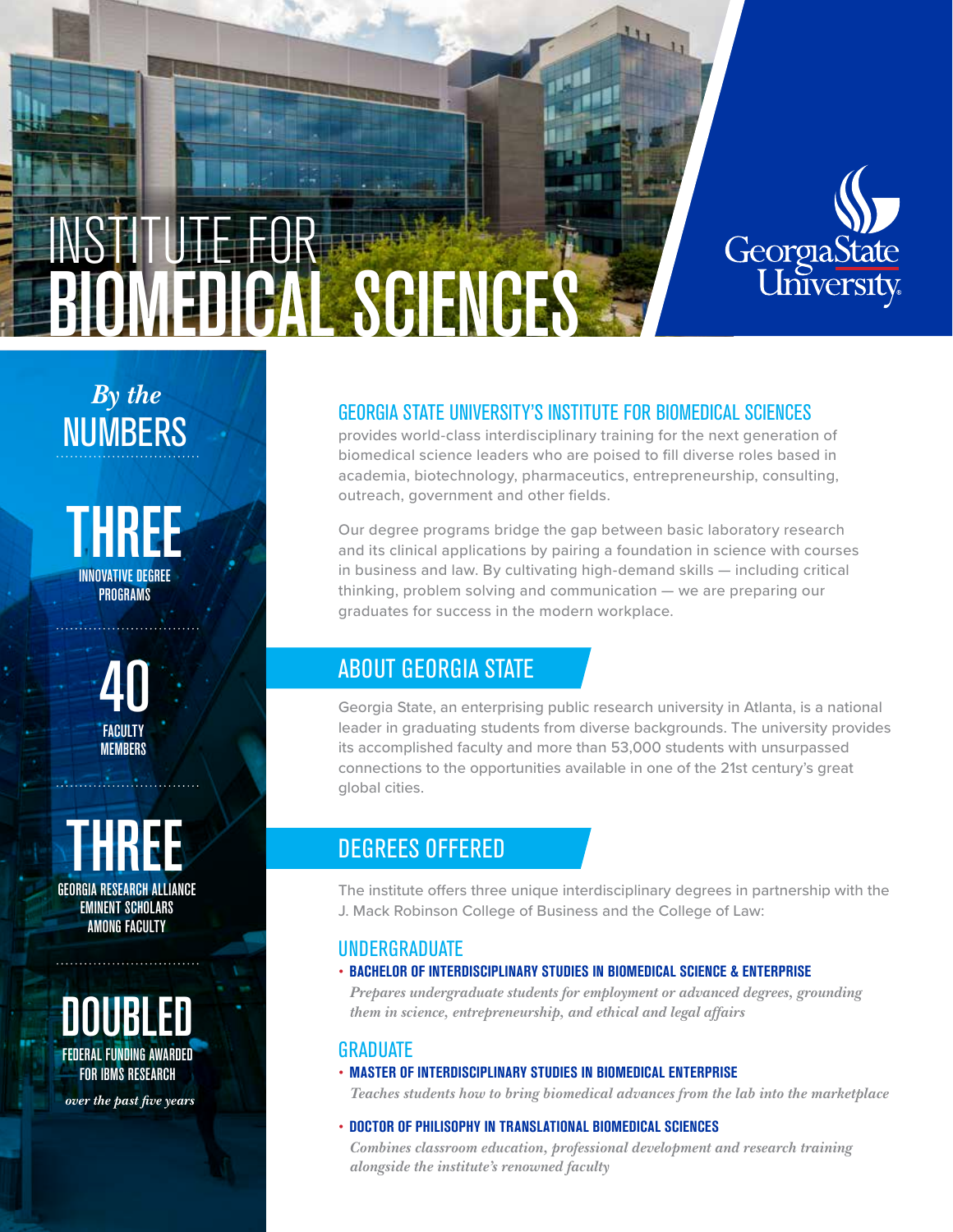

# INSTITUTE FOR BIOMEDICAL SCIENCES

*By the* **NUMBERS** 

THREE INNOVATIVE DEGREE PROGRAMS

. . . . . . . . . . . . . . .

40 FACULTY MEMBERS

GEORGIA RESEARCH ALLIANCE EMINENT SCHOLARS AMONG FACULTY

DOUBLED FEDERAL FUNDING AWARDED FOR IBMS RESEARCH

 *over the past five years*

## GEORGIA STATE UNIVERSITY'S INSTITUTE FOR BIOMEDICAL SCIENCES

provides world-class interdisciplinary training for the next generation of biomedical science leaders who are poised to fill diverse roles based in academia, biotechnology, pharmaceutics, entrepreneurship, consulting, outreach, government and other fields.

Our degree programs bridge the gap between basic laboratory research and its clinical applications by pairing a foundation in science with courses in business and law. By cultivating high-demand skills — including critical thinking, problem solving and communication — we are preparing our graduates for success in the modern workplace.

# ABOUT GEORGIA STATE

Georgia State, an enterprising public research university in Atlanta, is a national leader in graduating students from diverse backgrounds. The university provides its accomplished faculty and more than 53,000 students with unsurpassed connections to the opportunities available in one of the 21st century's great global cities.

# DEGREES OFFERED

The institute offers three unique interdisciplinary degrees in partnership with the J. Mack Robinson College of Business and the College of Law:

## UNDERGRADUATE

• **BACHELOR OF INTERDISCIPLINARY STUDIES IN BIOMEDICAL SCIENCE & ENTERPRISE**

*Prepares undergraduate students for employment or advanced degrees, grounding them in science, entrepreneurship, and ethical and legal affairs*

### GRADUATE

• **MASTER OF INTERDISCIPLINARY STUDIES IN BIOMEDICAL ENTERPRISE**

*Teaches students how to bring biomedical advances from the lab into the marketplace*

• **DOCTOR OF PHILISOPHY IN TRANSLATIONAL BIOMEDICAL SCIENCES**

*Combines classroom education, professional development and research training alongside the institute's renowned faculty*